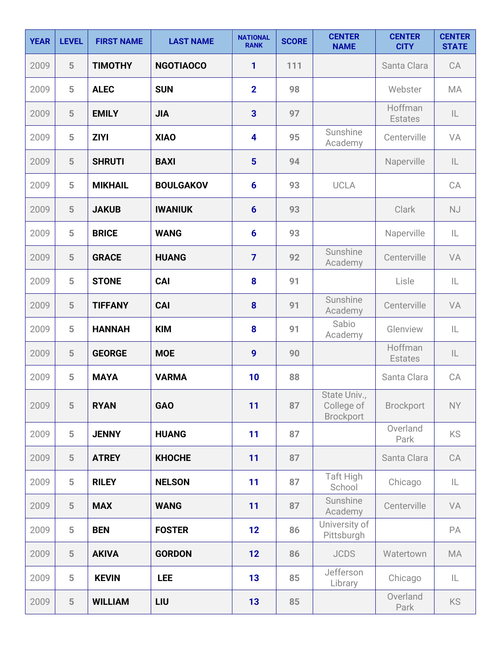| <b>YEAR</b> | <b>LEVEL</b>   | <b>FIRST NAME</b> | <b>LAST NAME</b> | <b>NATIONAL</b><br><b>RANK</b> | <b>SCORE</b> | <b>CENTER</b><br><b>NAME</b>                   | <b>CENTER</b><br><b>CITY</b> | <b>CENTER</b><br><b>STATE</b> |
|-------------|----------------|-------------------|------------------|--------------------------------|--------------|------------------------------------------------|------------------------------|-------------------------------|
| 2009        | 5              | <b>TIMOTHY</b>    | <b>NGOTIAOCO</b> | 1                              | 111          |                                                | Santa Clara                  | CA                            |
| 2009        | 5              | <b>ALEC</b>       | <b>SUN</b>       | $\overline{2}$                 | 98           |                                                | Webster                      | MA                            |
| 2009        | 5              | <b>EMILY</b>      | <b>JIA</b>       | $\overline{\mathbf{3}}$        | 97           |                                                | Hoffman<br><b>Estates</b>    | IL                            |
| 2009        | 5              | <b>ZIYI</b>       | <b>XIAO</b>      | 4                              | 95           | Sunshine<br>Academy                            | Centerville                  | VA                            |
| 2009        | 5              | <b>SHRUTI</b>     | <b>BAXI</b>      | $5\phantom{1}$                 | 94           |                                                | Naperville                   | $\mathsf{IL}$                 |
| 2009        | 5              | <b>MIKHAIL</b>    | <b>BOULGAKOV</b> | $6\phantom{1}6$                | 93           | <b>UCLA</b>                                    |                              | CA                            |
| 2009        | 5              | <b>JAKUB</b>      | <b>IWANIUK</b>   | $6\phantom{1}$                 | 93           |                                                | <b>Clark</b>                 | NJ                            |
| 2009        | 5              | <b>BRICE</b>      | <b>WANG</b>      | $6\phantom{1}$                 | 93           |                                                | Naperville                   | IL                            |
| 2009        | 5              | <b>GRACE</b>      | <b>HUANG</b>     | $\overline{7}$                 | 92           | Sunshine<br>Academy                            | Centerville                  | VA                            |
| 2009        | 5              | <b>STONE</b>      | <b>CAI</b>       | 8                              | 91           |                                                | Lisle                        | IL                            |
| 2009        | 5              | <b>TIFFANY</b>    | <b>CAI</b>       | 8                              | 91           | Sunshine<br>Academy                            | Centerville                  | VA                            |
| 2009        | 5              | <b>HANNAH</b>     | <b>KIM</b>       | 8                              | 91           | Sabio<br>Academy                               | Glenview                     | $\mathsf{IL}$                 |
| 2009        | 5              | <b>GEORGE</b>     | <b>MOE</b>       | $\boldsymbol{9}$               | 90           |                                                | Hoffman<br><b>Estates</b>    | IL                            |
| 2009        | 5              | <b>MAYA</b>       | <b>VARMA</b>     | 10                             | 88           |                                                | Santa Clara                  | CA                            |
| 2009        | 5              | <b>RYAN</b>       | <b>GAO</b>       | 11                             | 87           | State Univ.,<br>College of<br><b>Brockport</b> | <b>Brockport</b>             | NY                            |
| 2009        | 5              | <b>JENNY</b>      | <b>HUANG</b>     | 11                             | 87           |                                                | Overland<br>Park             | <b>KS</b>                     |
| 2009        | 5              | <b>ATREY</b>      | <b>KHOCHE</b>    | 11                             | 87           |                                                | Santa Clara                  | CA                            |
| 2009        | 5              | <b>RILEY</b>      | <b>NELSON</b>    | 11                             | 87           | Taft High<br>School                            | Chicago                      | IL                            |
| 2009        | 5              | <b>MAX</b>        | <b>WANG</b>      | 11                             | 87           | Sunshine<br>Academy                            | Centerville                  | VA                            |
| 2009        | 5              | <b>BEN</b>        | <b>FOSTER</b>    | 12                             | 86           | University of<br>Pittsburgh                    |                              | PA                            |
| 2009        | $5\phantom{.}$ | <b>AKIVA</b>      | <b>GORDON</b>    | 12                             | 86           | <b>JCDS</b>                                    | Watertown                    | <b>MA</b>                     |
| 2009        | 5              | <b>KEVIN</b>      | <b>LEE</b>       | 13                             | 85           | Jefferson<br>Library                           | Chicago                      | IL                            |
| 2009        | 5              | <b>WILLIAM</b>    | LIU              | 13                             | 85           |                                                | Overland<br>Park             | KS                            |